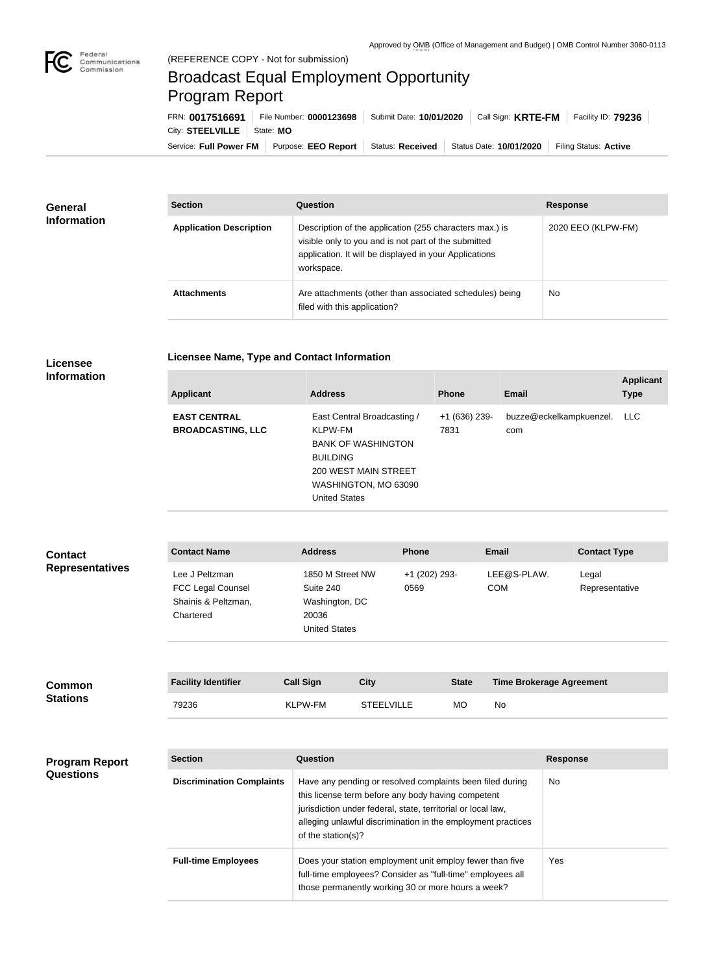

## Broadcast Equal Employment Opportunity Program Report

**Licensee Name, Type and Contact Information**

Service: Full Power FM Purpose: EEO Report | Status: Received | Status Date: 10/01/2020 | Filing Status: Active City: **STEELVILLE** | State: MO FRN: **0017516691** File Number: **0000123698** Submit Date: **10/01/2020** Call Sign: **KRTE-FM** Facility ID: **79236**

| <b>General</b><br><b>Information</b> | <b>Section</b>                 | Question                                                                                                                                                                                | <b>Response</b>    |
|--------------------------------------|--------------------------------|-----------------------------------------------------------------------------------------------------------------------------------------------------------------------------------------|--------------------|
|                                      | <b>Application Description</b> | Description of the application (255 characters max.) is<br>visible only to you and is not part of the submitted<br>application. It will be displayed in your Applications<br>workspace. | 2020 EEO (KLPW-FM) |
|                                      | <b>Attachments</b>             | Are attachments (other than associated schedules) being<br>filed with this application?                                                                                                 | <b>No</b>          |

## **Licensee Information**

| <b>Applicant</b>                                | <b>Address</b>                                                                                                                                                 | <b>Phone</b>            | <b>Email</b>                   | <b>Applicant</b><br><b>Type</b> |
|-------------------------------------------------|----------------------------------------------------------------------------------------------------------------------------------------------------------------|-------------------------|--------------------------------|---------------------------------|
| <b>EAST CENTRAL</b><br><b>BROADCASTING, LLC</b> | East Central Broadcasting /<br>KLPW-FM<br><b>BANK OF WASHINGTON</b><br><b>BUILDING</b><br>200 WEST MAIN STREET<br>WASHINGTON, MO 63090<br><b>United States</b> | $+1$ (636) 239-<br>7831 | buzze@eckelkampkuenzel.<br>com | <b>LLC</b>                      |

| <b>Contact</b>         | <b>Contact Name</b>                                                            | <b>Address</b>                                                                   | <b>Phone</b>          | <b>Email</b>              | <b>Contact Type</b>     |
|------------------------|--------------------------------------------------------------------------------|----------------------------------------------------------------------------------|-----------------------|---------------------------|-------------------------|
| <b>Representatives</b> | Lee J Peltzman<br><b>FCC Legal Counsel</b><br>Shainis & Peltzman,<br>Chartered | 1850 M Street NW<br>Suite 240<br>Washington, DC<br>20036<br><b>United States</b> | +1 (202) 293-<br>0569 | LEE@S-PLAW.<br><b>COM</b> | Legal<br>Representative |

| <b>Common</b><br><b>Stations</b> | <b>Facility Identifier</b> | <b>Call Sign</b> | <b>City</b>       | <b>State</b> | <b>Time Brokerage Agreement</b> |
|----------------------------------|----------------------------|------------------|-------------------|--------------|---------------------------------|
|                                  | 79236                      | <b>KLPW-FM</b>   | <b>STEELVILLE</b> | МO           | No                              |

| <b>Program Report</b><br><b>Questions</b> | <b>Section</b>                   | Question                                                                                                                                                                                                                                                              | <b>Response</b> |
|-------------------------------------------|----------------------------------|-----------------------------------------------------------------------------------------------------------------------------------------------------------------------------------------------------------------------------------------------------------------------|-----------------|
|                                           | <b>Discrimination Complaints</b> | Have any pending or resolved complaints been filed during<br>this license term before any body having competent<br>jurisdiction under federal, state, territorial or local law,<br>alleging unlawful discrimination in the employment practices<br>of the station(s)? | No              |
|                                           | <b>Full-time Employees</b>       | Does your station employment unit employ fewer than five<br>full-time employees? Consider as "full-time" employees all<br>those permanently working 30 or more hours a week?                                                                                          | Yes             |